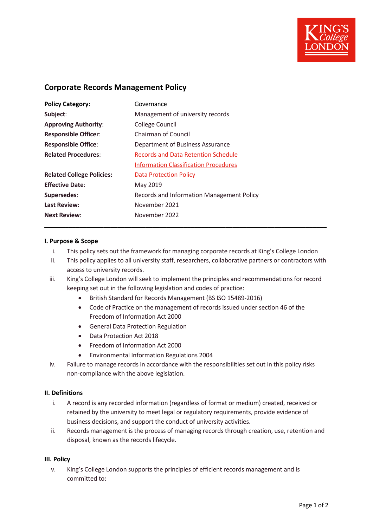

## **Corporate Records Management Policy**

| <b>Policy Category:</b>          | Governance                                   |
|----------------------------------|----------------------------------------------|
| Subject:                         | Management of university records             |
| <b>Approving Authority:</b>      | College Council                              |
| <b>Responsible Officer:</b>      | <b>Chairman of Council</b>                   |
| <b>Responsible Office:</b>       | Department of Business Assurance             |
| <b>Related Procedures:</b>       | <b>Records and Data Retention Schedule</b>   |
|                                  | <b>Information Classification Procedures</b> |
| <b>Related College Policies:</b> | <b>Data Protection Policy</b>                |
| <b>Effective Date:</b>           | May 2019                                     |
| Supersedes:                      | Records and Information Management Policy    |
| <b>Last Review:</b>              | November 2021                                |
| <b>Next Review:</b>              | November 2022                                |

## **I. Purpose & Scope**

i. This policy sets out the framework for managing corporate records at King's College London

**\_\_\_\_\_\_\_\_\_\_\_\_\_\_\_\_\_\_\_\_\_\_\_\_\_\_\_\_\_\_\_\_\_\_\_\_\_\_\_\_\_\_\_\_\_\_\_\_\_\_\_\_\_\_\_\_\_\_\_\_\_\_\_\_\_\_\_\_\_\_\_\_\_\_\_\_\_\_\_\_\_**

- ii. This policy applies to all university staff, researchers, collaborative partners or contractors with access to university records.
- iii. King's College London will seek to implement the principles and recommendations for record keeping set out in the following legislation and codes of practice:
	- British Standard for Records Management (BS ISO 15489-2016)
	- Code of Practice on the management of records issued under section 46 of the Freedom of Information Act 2000
	- General Data Protection Regulation
	- Data Protection Act 2018
	- Freedom of Information Act 2000
	- Environmental Information Regulations 2004
- iv. Failure to manage records in accordance with the responsibilities set out in this policy risks non-compliance with the above legislation.

## **II. Definitions**

- i. A record is any recorded information (regardless of format or medium) created, received or retained by the university to meet legal or regulatory requirements, provide evidence of business decisions, and support the conduct of university activities.
- ii. Records management is the process of managing records through creation, use, retention and disposal, known as the records lifecycle.

## **III. Policy**

v. King's College London supports the principles of efficient records management and is committed to: